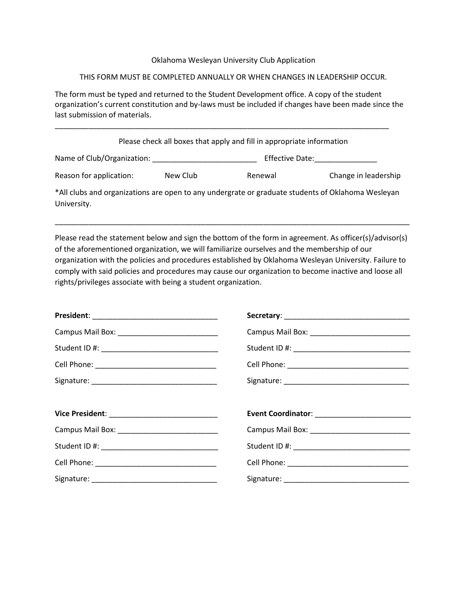## Oklahoma Wesleyan University Club Application

## THIS FORM MUST BE COMPLETED ANNUALLY OR WHEN CHANGES IN LEADERSHIP OCCUR.

The form must be typed and returned to the Student Development office. A copy of the student organization's current constitution and by-laws must be included if changes have been made since the last submission of materials.

\_\_\_\_\_\_\_\_\_\_\_\_\_\_\_\_\_\_\_\_\_\_\_\_\_\_\_\_\_\_\_\_\_\_\_\_\_\_\_\_\_\_\_\_\_\_\_\_\_\_\_\_\_\_\_\_\_\_\_\_\_\_\_\_\_\_\_\_\_\_\_\_\_\_\_\_\_\_\_\_

| Please check all boxes that apply and fill in appropriate information |          |                 |                                                                                                   |  |
|-----------------------------------------------------------------------|----------|-----------------|---------------------------------------------------------------------------------------------------|--|
| Name of Club/Organization:                                            |          | Effective Date: |                                                                                                   |  |
| Reason for application:                                               | New Club | Renewal         | Change in leadership                                                                              |  |
| University.                                                           |          |                 | *All clubs and organizations are open to any undergrate or graduate students of Oklahoma Wesleyan |  |

Please read the statement below and sign the bottom of the form in agreement. As officer(s)/advisor(s) of the aforementioned organization, we will familiarize ourselves and the membership of our organization with the policies and procedures established by Oklahoma Wesleyan University. Failure to comply with said policies and procedures may cause our organization to become inactive and loose all rights/privileges associate with being a student organization.

\_\_\_\_\_\_\_\_\_\_\_\_\_\_\_\_\_\_\_\_\_\_\_\_\_\_\_\_\_\_\_\_\_\_\_\_\_\_\_\_\_\_\_\_\_\_\_\_\_\_\_\_\_\_\_\_\_\_\_\_\_\_\_\_\_\_\_\_\_\_\_\_\_\_\_\_\_\_\_\_\_\_\_\_\_

| Campus Mail Box: ______________________________ |  |
|-------------------------------------------------|--|
|                                                 |  |
| Cell Phone: __________________________________  |  |
|                                                 |  |
|                                                 |  |
|                                                 |  |
|                                                 |  |
|                                                 |  |
|                                                 |  |
|                                                 |  |